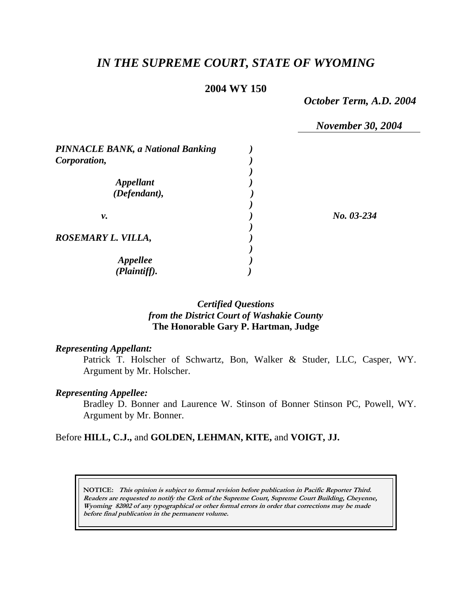# *IN THE SUPREME COURT, STATE OF WYOMING*

## **2004 WY 150**

*October Term, A.D. 2004* 

*November 30, 2004* 

| <b>PINNACLE BANK, a National Banking</b> |            |
|------------------------------------------|------------|
| Corporation,                             |            |
|                                          |            |
| <b>Appellant</b>                         |            |
| (Defendant),                             |            |
|                                          |            |
| ν.                                       | No. 03-234 |
|                                          |            |
| ROSEMARY L. VILLA,                       |            |
|                                          |            |
| <b>Appellee</b>                          |            |
| (Plaintiff).                             |            |

# *Certified Questions from the District Court of Washakie County* **The Honorable Gary P. Hartman, Judge**

## *Representing Appellant:*

Patrick T. Holscher of Schwartz, Bon, Walker & Studer, LLC, Casper, WY. Argument by Mr. Holscher.

#### *Representing Appellee:*

Bradley D. Bonner and Laurence W. Stinson of Bonner Stinson PC, Powell, WY. Argument by Mr. Bonner.

# Before **HILL, C.J.,** and **GOLDEN, LEHMAN, KITE,** and **VOIGT, JJ.**

**NOTICE: This opinion is subject to formal revision before publication in Pacific Reporter Third. Readers are requested to notify the Clerk of the Supreme Court, Supreme Court Building, Cheyenne, Wyoming 82002 of any typographical or other formal errors in order that corrections may be made before final publication in the permanent volume.**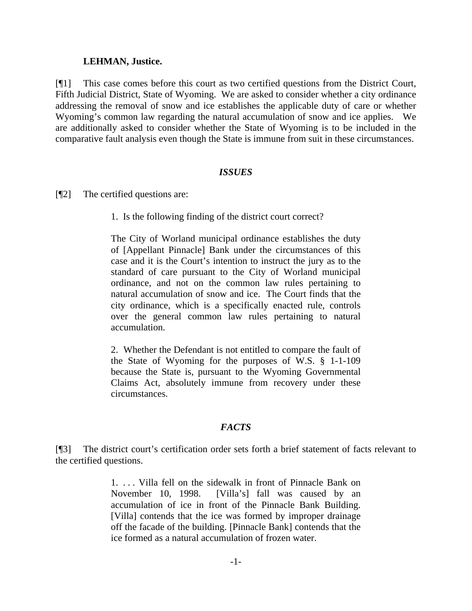## **LEHMAN, Justice.**

[¶1] This case comes before this court as two certified questions from the District Court, Fifth Judicial District, State of Wyoming. We are asked to consider whether a city ordinance addressing the removal of snow and ice establishes the applicable duty of care or whether Wyoming's common law regarding the natural accumulation of snow and ice applies. We are additionally asked to consider whether the State of Wyoming is to be included in the comparative fault analysis even though the State is immune from suit in these circumstances.

# *ISSUES*

[¶2] The certified questions are:

1. Is the following finding of the district court correct?

The City of Worland municipal ordinance establishes the duty of [Appellant Pinnacle] Bank under the circumstances of this case and it is the Court's intention to instruct the jury as to the standard of care pursuant to the City of Worland municipal ordinance, and not on the common law rules pertaining to natural accumulation of snow and ice. The Court finds that the city ordinance, which is a specifically enacted rule, controls over the general common law rules pertaining to natural accumulation.

2. Whether the Defendant is not entitled to compare the fault of the State of Wyoming for the purposes of W.S. § 1-1-109 because the State is, pursuant to the Wyoming Governmental Claims Act, absolutely immune from recovery under these circumstances.

# *FACTS*

[¶3] The district court's certification order sets forth a brief statement of facts relevant to the certified questions.

> 1. . . . Villa fell on the sidewalk in front of Pinnacle Bank on November 10, 1998. [Villa's] fall was caused by an accumulation of ice in front of the Pinnacle Bank Building. [Villa] contends that the ice was formed by improper drainage off the facade of the building. [Pinnacle Bank] contends that the ice formed as a natural accumulation of frozen water.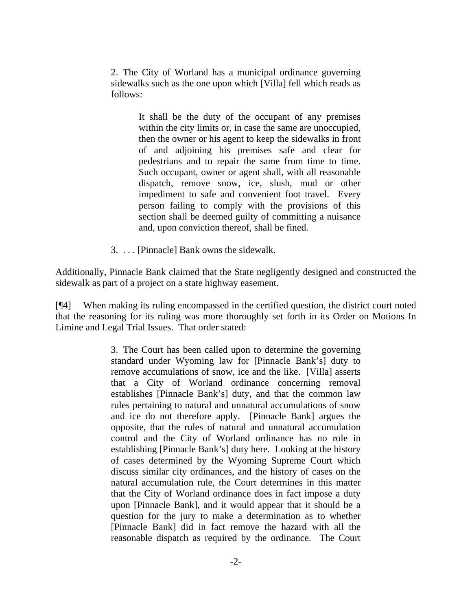2. The City of Worland has a municipal ordinance governing sidewalks such as the one upon which [Villa] fell which reads as follows:

> It shall be the duty of the occupant of any premises within the city limits or, in case the same are unoccupied, then the owner or his agent to keep the sidewalks in front of and adjoining his premises safe and clear for pedestrians and to repair the same from time to time. Such occupant, owner or agent shall, with all reasonable dispatch, remove snow, ice, slush, mud or other impediment to safe and convenient foot travel. Every person failing to comply with the provisions of this section shall be deemed guilty of committing a nuisance and, upon conviction thereof, shall be fined.

3. . . . [Pinnacle] Bank owns the sidewalk.

Additionally, Pinnacle Bank claimed that the State negligently designed and constructed the sidewalk as part of a project on a state highway easement.

[¶4] When making its ruling encompassed in the certified question, the district court noted that the reasoning for its ruling was more thoroughly set forth in its Order on Motions In Limine and Legal Trial Issues. That order stated:

> 3. The Court has been called upon to determine the governing standard under Wyoming law for [Pinnacle Bank's] duty to remove accumulations of snow, ice and the like. [Villa] asserts that a City of Worland ordinance concerning removal establishes [Pinnacle Bank's] duty, and that the common law rules pertaining to natural and unnatural accumulations of snow and ice do not therefore apply. [Pinnacle Bank] argues the opposite, that the rules of natural and unnatural accumulation control and the City of Worland ordinance has no role in establishing [Pinnacle Bank's] duty here. Looking at the history of cases determined by the Wyoming Supreme Court which discuss similar city ordinances, and the history of cases on the natural accumulation rule, the Court determines in this matter that the City of Worland ordinance does in fact impose a duty upon [Pinnacle Bank], and it would appear that it should be a question for the jury to make a determination as to whether [Pinnacle Bank] did in fact remove the hazard with all the reasonable dispatch as required by the ordinance. The Court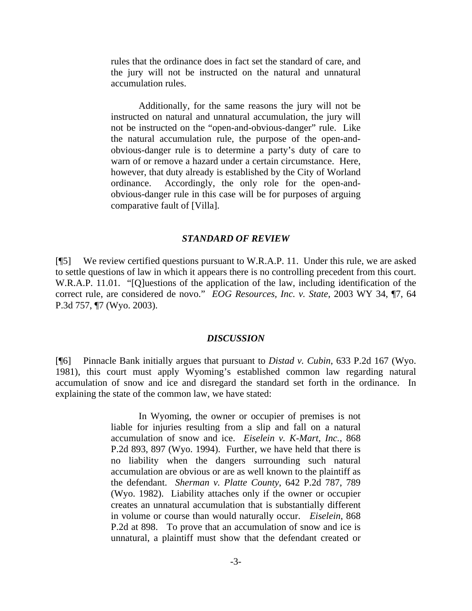rules that the ordinance does in fact set the standard of care, and the jury will not be instructed on the natural and unnatural accumulation rules.

 Additionally, for the same reasons the jury will not be instructed on natural and unnatural accumulation, the jury will not be instructed on the "open-and-obvious-danger" rule. Like the natural accumulation rule, the purpose of the open-andobvious-danger rule is to determine a party's duty of care to warn of or remove a hazard under a certain circumstance. Here, however, that duty already is established by the City of Worland ordinance. Accordingly, the only role for the open-andobvious-danger rule in this case will be for purposes of arguing comparative fault of [Villa].

#### *STANDARD OF REVIEW*

[¶5] We review certified questions pursuant to W.R.A.P. 11. Under this rule, we are asked to settle questions of law in which it appears there is no controlling precedent from this court. W.R.A.P. 11.01. "[Q]uestions of the application of the law, including identification of the correct rule, are considered de novo." *EOG Resources, Inc. v. State*, 2003 WY 34, ¶7, 64 P.3d 757, ¶7 (Wyo. 2003).

#### *DISCUSSION*

[¶6] Pinnacle Bank initially argues that pursuant to *Distad v. Cubin*, 633 P.2d 167 (Wyo. 1981), this court must apply Wyoming's established common law regarding natural accumulation of snow and ice and disregard the standard set forth in the ordinance. In explaining the state of the common law, we have stated:

> In Wyoming, the owner or occupier of premises is not liable for injuries resulting from a slip and fall on a natural accumulation of snow and ice. *Eiselein v. K-Mart, Inc.*, 868 P.2d 893, 897 (Wyo. 1994). Further, we have held that there is no liability when the dangers surrounding such natural accumulation are obvious or are as well known to the plaintiff as the defendant. *Sherman v. Platte County*, 642 P.2d 787, 789 (Wyo. 1982). Liability attaches only if the owner or occupier creates an unnatural accumulation that is substantially different in volume or course than would naturally occur. *Eiselein*, 868 P.2d at 898. To prove that an accumulation of snow and ice is unnatural, a plaintiff must show that the defendant created or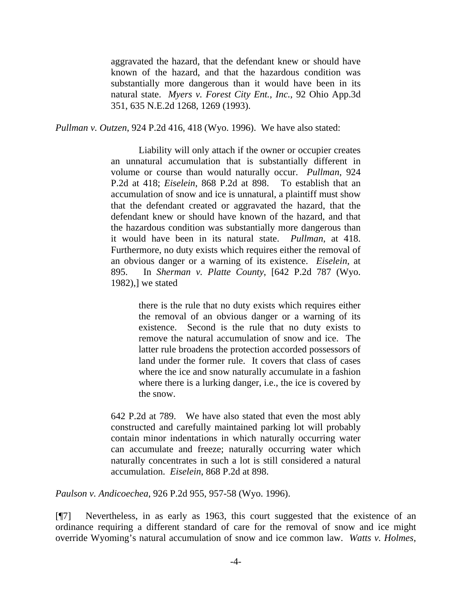aggravated the hazard, that the defendant knew or should have known of the hazard, and that the hazardous condition was substantially more dangerous than it would have been in its natural state. *Myers v. Forest City Ent., Inc.*, 92 Ohio App.3d 351, 635 N.E.2d 1268, 1269 (1993).

*Pullman v. Outzen*, 924 P.2d 416, 418 (Wyo. 1996). We have also stated:

 Liability will only attach if the owner or occupier creates an unnatural accumulation that is substantially different in volume or course than would naturally occur. *Pullman*, 924 P.2d at 418; *Eiselein*, 868 P.2d at 898. To establish that an accumulation of snow and ice is unnatural, a plaintiff must show that the defendant created or aggravated the hazard, that the defendant knew or should have known of the hazard, and that the hazardous condition was substantially more dangerous than it would have been in its natural state. *Pullman*, at 418. Furthermore, no duty exists which requires either the removal of an obvious danger or a warning of its existence. *Eiselein*, at 895. In *Sherman v. Platte County*, [642 P.2d 787 (Wyo. 1982),] we stated

> there is the rule that no duty exists which requires either the removal of an obvious danger or a warning of its existence. Second is the rule that no duty exists to remove the natural accumulation of snow and ice. The latter rule broadens the protection accorded possessors of land under the former rule. It covers that class of cases where the ice and snow naturally accumulate in a fashion where there is a lurking danger, i.e., the ice is covered by the snow.

642 P.2d at 789. We have also stated that even the most ably constructed and carefully maintained parking lot will probably contain minor indentations in which naturally occurring water can accumulate and freeze; naturally occurring water which naturally concentrates in such a lot is still considered a natural accumulation. *Eiselein*, 868 P.2d at 898.

*Paulson v. Andicoechea*, 926 P.2d 955, 957-58 (Wyo. 1996).

[¶7] Nevertheless, in as early as 1963, this court suggested that the existence of an ordinance requiring a different standard of care for the removal of snow and ice might override Wyoming's natural accumulation of snow and ice common law. *Watts v. Holmes*,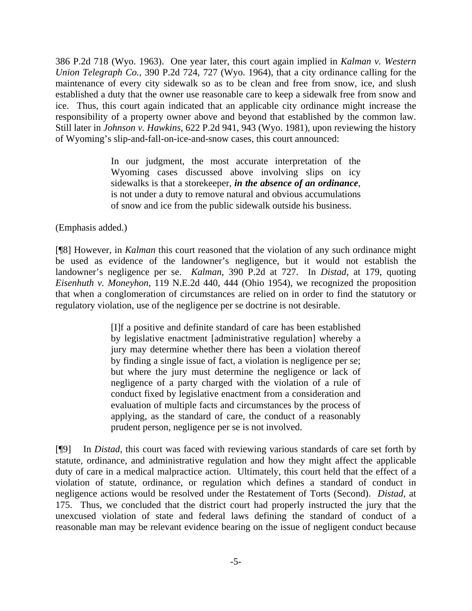386 P.2d 718 (Wyo. 1963). One year later, this court again implied in *Kalman v. Western Union Telegraph Co.*, 390 P.2d 724, 727 (Wyo. 1964), that a city ordinance calling for the maintenance of every city sidewalk so as to be clean and free from snow, ice, and slush established a duty that the owner use reasonable care to keep a sidewalk free from snow and ice. Thus, this court again indicated that an applicable city ordinance might increase the responsibility of a property owner above and beyond that established by the common law. Still later in *Johnson v. Hawkins*, 622 P.2d 941, 943 (Wyo. 1981), upon reviewing the history of Wyoming's slip-and-fall-on-ice-and-snow cases, this court announced:

> In our judgment, the most accurate interpretation of the Wyoming cases discussed above involving slips on icy sidewalks is that a storekeeper, *in the absence of an ordinance*, is not under a duty to remove natural and obvious accumulations of snow and ice from the public sidewalk outside his business.

(Emphasis added.)

[¶8] However, in *Kalman* this court reasoned that the violation of any such ordinance might be used as evidence of the landowner's negligence, but it would not establish the landowner's negligence per se. *Kalman*, 390 P.2d at 727. In *Distad*, at 179, quoting *Eisenhuth v. Moneyhon*, 119 N.E.2d 440, 444 (Ohio 1954), we recognized the proposition that when a conglomeration of circumstances are relied on in order to find the statutory or regulatory violation, use of the negligence per se doctrine is not desirable.

> [I]f a positive and definite standard of care has been established by legislative enactment [administrative regulation] whereby a jury may determine whether there has been a violation thereof by finding a single issue of fact, a violation is negligence per se; but where the jury must determine the negligence or lack of negligence of a party charged with the violation of a rule of conduct fixed by legislative enactment from a consideration and evaluation of multiple facts and circumstances by the process of applying, as the standard of care, the conduct of a reasonably prudent person, negligence per se is not involved.

[¶9] In *Distad*, this court was faced with reviewing various standards of care set forth by statute, ordinance, and administrative regulation and how they might affect the applicable duty of care in a medical malpractice action. Ultimately, this court held that the effect of a violation of statute, ordinance, or regulation which defines a standard of conduct in negligence actions would be resolved under the Restatement of Torts (Second). *Distad*, at 175. Thus, we concluded that the district court had properly instructed the jury that the unexcused violation of state and federal laws defining the standard of conduct of a reasonable man may be relevant evidence bearing on the issue of negligent conduct because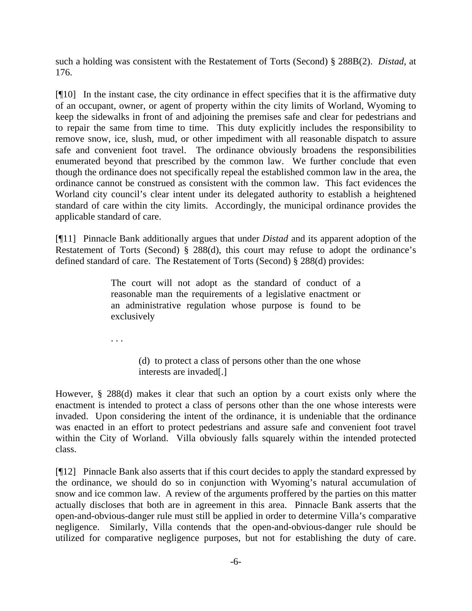such a holding was consistent with the Restatement of Torts (Second) § 288B(2). *Distad*, at 176.

[¶10] In the instant case, the city ordinance in effect specifies that it is the affirmative duty of an occupant, owner, or agent of property within the city limits of Worland, Wyoming to keep the sidewalks in front of and adjoining the premises safe and clear for pedestrians and to repair the same from time to time. This duty explicitly includes the responsibility to remove snow, ice, slush, mud, or other impediment with all reasonable dispatch to assure safe and convenient foot travel. The ordinance obviously broadens the responsibilities enumerated beyond that prescribed by the common law. We further conclude that even though the ordinance does not specifically repeal the established common law in the area, the ordinance cannot be construed as consistent with the common law. This fact evidences the Worland city council's clear intent under its delegated authority to establish a heightened standard of care within the city limits. Accordingly, the municipal ordinance provides the applicable standard of care.

[¶11] Pinnacle Bank additionally argues that under *Distad* and its apparent adoption of the Restatement of Torts (Second) § 288(d), this court may refuse to adopt the ordinance's defined standard of care. The Restatement of Torts (Second) § 288(d) provides:

> The court will not adopt as the standard of conduct of a reasonable man the requirements of a legislative enactment or an administrative regulation whose purpose is found to be exclusively

. . .

(d) to protect a class of persons other than the one whose interests are invaded[.]

However, § 288(d) makes it clear that such an option by a court exists only where the enactment is intended to protect a class of persons other than the one whose interests were invaded. Upon considering the intent of the ordinance, it is undeniable that the ordinance was enacted in an effort to protect pedestrians and assure safe and convenient foot travel within the City of Worland. Villa obviously falls squarely within the intended protected class.

[¶12] Pinnacle Bank also asserts that if this court decides to apply the standard expressed by the ordinance, we should do so in conjunction with Wyoming's natural accumulation of snow and ice common law. A review of the arguments proffered by the parties on this matter actually discloses that both are in agreement in this area. Pinnacle Bank asserts that the open-and-obvious-danger rule must still be applied in order to determine Villa's comparative negligence. Similarly, Villa contends that the open-and-obvious-danger rule should be utilized for comparative negligence purposes, but not for establishing the duty of care.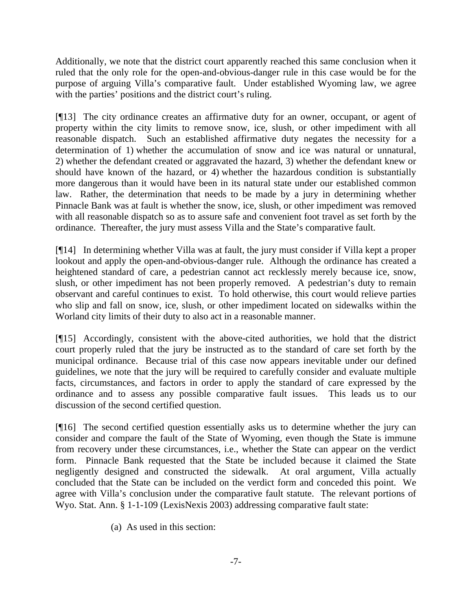Additionally, we note that the district court apparently reached this same conclusion when it ruled that the only role for the open-and-obvious-danger rule in this case would be for the purpose of arguing Villa's comparative fault. Under established Wyoming law, we agree with the parties' positions and the district court's ruling.

[¶13] The city ordinance creates an affirmative duty for an owner, occupant, or agent of property within the city limits to remove snow, ice, slush, or other impediment with all reasonable dispatch. Such an established affirmative duty negates the necessity for a determination of 1) whether the accumulation of snow and ice was natural or unnatural, 2) whether the defendant created or aggravated the hazard, 3) whether the defendant knew or should have known of the hazard, or 4) whether the hazardous condition is substantially more dangerous than it would have been in its natural state under our established common law. Rather, the determination that needs to be made by a jury in determining whether Pinnacle Bank was at fault is whether the snow, ice, slush, or other impediment was removed with all reasonable dispatch so as to assure safe and convenient foot travel as set forth by the ordinance. Thereafter, the jury must assess Villa and the State's comparative fault.

[¶14] In determining whether Villa was at fault, the jury must consider if Villa kept a proper lookout and apply the open-and-obvious-danger rule. Although the ordinance has created a heightened standard of care, a pedestrian cannot act recklessly merely because ice, snow, slush, or other impediment has not been properly removed. A pedestrian's duty to remain observant and careful continues to exist. To hold otherwise, this court would relieve parties who slip and fall on snow, ice, slush, or other impediment located on sidewalks within the Worland city limits of their duty to also act in a reasonable manner.

[¶15] Accordingly, consistent with the above-cited authorities, we hold that the district court properly ruled that the jury be instructed as to the standard of care set forth by the municipal ordinance. Because trial of this case now appears inevitable under our defined guidelines, we note that the jury will be required to carefully consider and evaluate multiple facts, circumstances, and factors in order to apply the standard of care expressed by the ordinance and to assess any possible comparative fault issues. This leads us to our discussion of the second certified question.

[¶16] The second certified question essentially asks us to determine whether the jury can consider and compare the fault of the State of Wyoming, even though the State is immune from recovery under these circumstances, i.e., whether the State can appear on the verdict form. Pinnacle Bank requested that the State be included because it claimed the State negligently designed and constructed the sidewalk. At oral argument, Villa actually concluded that the State can be included on the verdict form and conceded this point. We agree with Villa's conclusion under the comparative fault statute. The relevant portions of Wyo. Stat. Ann. § 1-1-109 (LexisNexis 2003) addressing comparative fault state:

(a) As used in this section: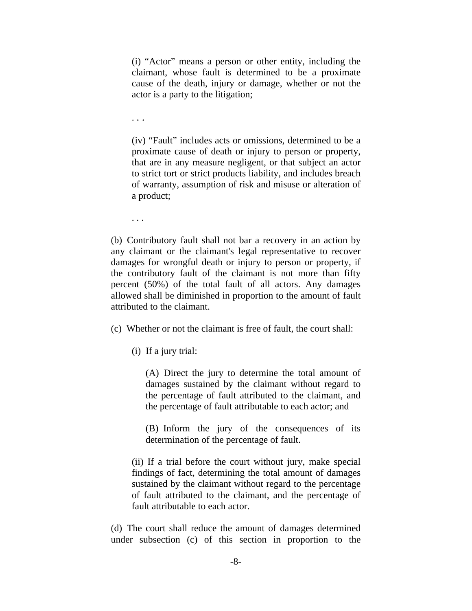(i) "Actor" means a person or other entity, including the claimant, whose fault is determined to be a proximate cause of the death, injury or damage, whether or not the actor is a party to the litigation;

. . .

(iv) "Fault" includes acts or omissions, determined to be a proximate cause of death or injury to person or property, that are in any measure negligent, or that subject an actor to strict tort or strict products liability, and includes breach of warranty, assumption of risk and misuse or alteration of a product;

. . .

(b) Contributory fault shall not bar a recovery in an action by any claimant or the claimant's legal representative to recover damages for wrongful death or injury to person or property, if the contributory fault of the claimant is not more than fifty percent (50%) of the total fault of all actors. Any damages allowed shall be diminished in proportion to the amount of fault attributed to the claimant.

- (c) Whether or not the claimant is free of fault, the court shall:
	- (i) If a jury trial:

(A) Direct the jury to determine the total amount of damages sustained by the claimant without regard to the percentage of fault attributed to the claimant, and the percentage of fault attributable to each actor; and

(B) Inform the jury of the consequences of its determination of the percentage of fault.

(ii) If a trial before the court without jury, make special findings of fact, determining the total amount of damages sustained by the claimant without regard to the percentage of fault attributed to the claimant, and the percentage of fault attributable to each actor.

(d) The court shall reduce the amount of damages determined under subsection (c) of this section in proportion to the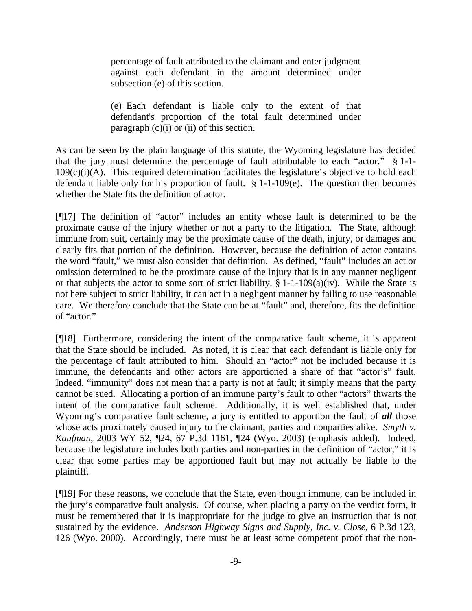percentage of fault attributed to the claimant and enter judgment against each defendant in the amount determined under subsection (e) of this section.

(e) Each defendant is liable only to the extent of that defendant's proportion of the total fault determined under paragraph  $(c)(i)$  or  $(ii)$  of this section.

As can be seen by the plain language of this statute, the Wyoming legislature has decided that the jury must determine the percentage of fault attributable to each "actor." § 1-1-  $109(c)(i)(A)$ . This required determination facilitates the legislature's objective to hold each defendant liable only for his proportion of fault. § 1-1-109(e). The question then becomes whether the State fits the definition of actor.

[¶17] The definition of "actor" includes an entity whose fault is determined to be the proximate cause of the injury whether or not a party to the litigation. The State, although immune from suit, certainly may be the proximate cause of the death, injury, or damages and clearly fits that portion of the definition. However, because the definition of actor contains the word "fault," we must also consider that definition. As defined, "fault" includes an act or omission determined to be the proximate cause of the injury that is in any manner negligent or that subjects the actor to some sort of strict liability. § 1-1-109(a)(iv). While the State is not here subject to strict liability, it can act in a negligent manner by failing to use reasonable care. We therefore conclude that the State can be at "fault" and, therefore, fits the definition of "actor."

[¶18] Furthermore, considering the intent of the comparative fault scheme, it is apparent that the State should be included. As noted, it is clear that each defendant is liable only for the percentage of fault attributed to him. Should an "actor" not be included because it is immune, the defendants and other actors are apportioned a share of that "actor's" fault. Indeed, "immunity" does not mean that a party is not at fault; it simply means that the party cannot be sued. Allocating a portion of an immune party's fault to other "actors" thwarts the intent of the comparative fault scheme. Additionally, it is well established that, under Wyoming's comparative fault scheme, a jury is entitled to apportion the fault of *all* those whose acts proximately caused injury to the claimant, parties and nonparties alike. *Smyth v*. *Kaufman*, 2003 WY 52, ¶24, 67 P.3d 1161, ¶24 (Wyo. 2003) (emphasis added). Indeed, because the legislature includes both parties and non-parties in the definition of "actor," it is clear that some parties may be apportioned fault but may not actually be liable to the plaintiff.

[¶19] For these reasons, we conclude that the State, even though immune, can be included in the jury's comparative fault analysis. Of course, when placing a party on the verdict form, it must be remembered that it is inappropriate for the judge to give an instruction that is not sustained by the evidence. *Anderson Highway Signs and Supply, Inc. v. Close*, 6 P.3d 123, 126 (Wyo. 2000). Accordingly, there must be at least some competent proof that the non-